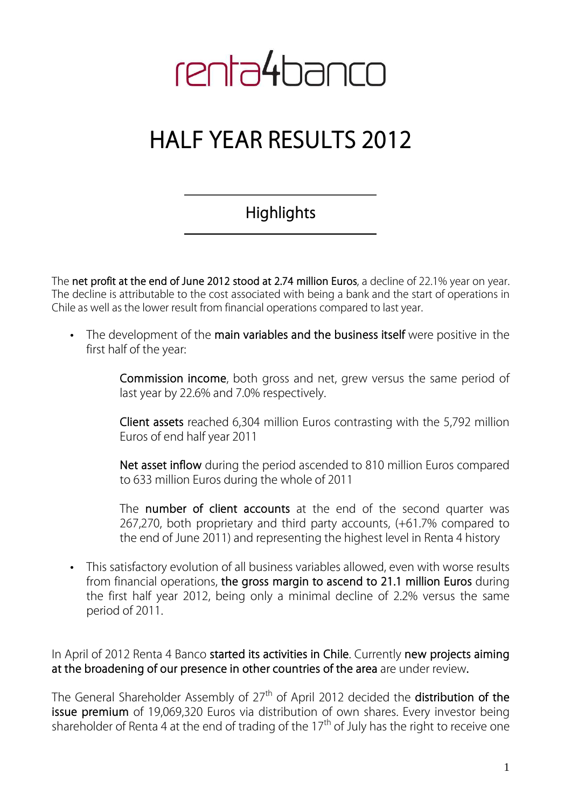# renta4banco

## **HALF YEAR RESULTS 2012**

### **Highlights**

The **net profit at the end of June 2012 stood at 2.74 million Euros**, a decline of 22.1% year on year. The decline is attributable to the cost associated with being a bank and the start of operations in Chile as well as the lower result from financial operations compared to last year.

• The development of the **main variables and the business itself** were positive in the first half of the year:

> **Commission income**, both gross and net, grew versus the same period of last year by 22.6% and 7.0% respectively.

> **Client assets** reached 6,304 million Euros contrasting with the 5,792 million Euros of end half year 2011

> **Net asset inflow** during the period ascended to 810 million Euros compared to 633 million Euros during the whole of 2011

> The **number of client accounts** at the end of the second quarter was 267,270, both proprietary and third party accounts, (+61.7% compared to the end of June 2011) and representing the highest level in Renta 4 history

• This satisfactory evolution of all business variables allowed, even with worse results from financial operations, **the gross margin to ascend to 21.1 million Euros** during the first half year 2012, being only a minimal decline of 2.2% versus the same period of 2011.

In April of 2012 Renta 4 Banco **started its activities in Chile**. Currently **new projects aiming at the broadening of our presence in other countries of the area** are under review**.** 

The General Shareholder Assembly of 27th of April 2012 decided the **distribution of the issue premium** of 19,069,320 Euros via distribution of own shares. Every investor being shareholder of Renta 4 at the end of trading of the  $17<sup>th</sup>$  of July has the right to receive one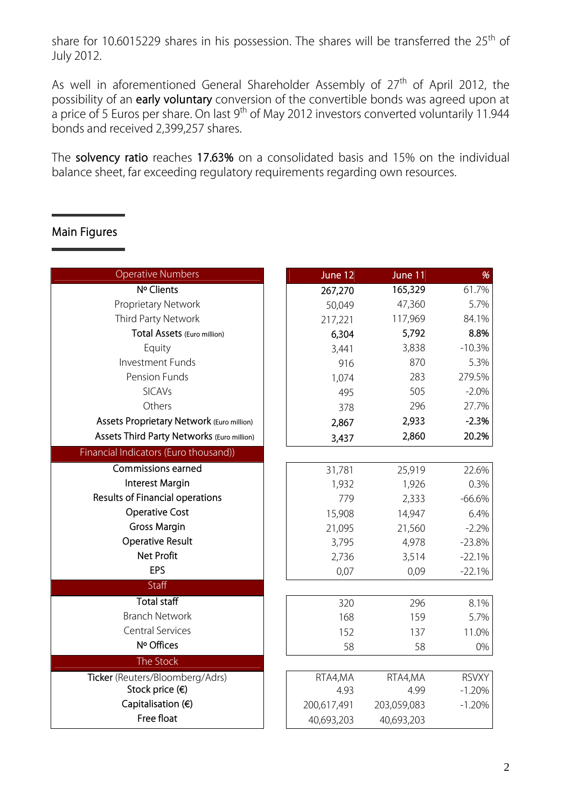share for 10.6015229 shares in his possession. The shares will be transferred the  $25<sup>th</sup>$  of July 2012.

As well in aforementioned General Shareholder Assembly of  $27<sup>th</sup>$  of April 2012, the possibility of an **early voluntary** conversion of the convertible bonds was agreed upon at a price of 5 Euros per share. On last  $9<sup>th</sup>$  of May 2012 investors converted voluntarily 11.944 bonds and received 2,399,257 shares.

The **solvency ratio** reaches **17.63%** on a consolidated basis and 15% on the individual balance sheet, far exceeding regulatory requirements regarding own resources.

#### **Main Figures**

| <b>Operative Numbers</b>                   | June 12     | June 11     | %            |
|--------------------------------------------|-------------|-------------|--------------|
| Nº Clients                                 | 267,270     | 165,329     | 61.7%        |
| Proprietary Network                        | 50,049      | 47,360      | 5.7%         |
| Third Party Network                        | 217,221     | 117,969     | 84.1%        |
| Total Assets (Euro million)                | 6,304       | 5,792       | 8.8%         |
| Equity                                     | 3,441       | 3,838       | $-10.3%$     |
| Investment Funds                           | 916         | 870         | 5.3%         |
| Pension Funds                              | 1,074       | 283         | 279.5%       |
| <b>SICAVs</b>                              | 495         | 505         | $-2.0%$      |
| Others                                     | 378         | 296         | 27.7%        |
| Assets Proprietary Network (Euro million)  | 2,867       | 2,933       | $-2.3%$      |
| Assets Third Party Networks (Euro million) | 3,437       | 2,860       | 20.2%        |
| Financial Indicators (Euro thousand))      |             |             |              |
| <b>Commissions earned</b>                  | 31,781      | 25,919      | 22.6%        |
| <b>Interest Margin</b>                     | 1,932       | 1,926       | 0.3%         |
| Results of Financial operations            | 779         | 2,333       | $-66.6%$     |
| <b>Operative Cost</b>                      | 15,908      | 14,947      | 6.4%         |
| <b>Gross Margin</b>                        | 21,095      | 21,560      | $-2.2%$      |
| <b>Operative Result</b>                    | 3,795       | 4,978       | $-23.8%$     |
| <b>Net Profit</b>                          | 2,736       | 3,514       | $-22.1%$     |
| EPS                                        | 0,07        | 0,09        | $-22.1%$     |
| Staff                                      |             |             |              |
| <b>Total staff</b>                         | 320         | 296         | 8.1%         |
| <b>Branch Network</b>                      | 168         | 159         | 5.7%         |
| <b>Central Services</b>                    | 152         | 137         | 11.0%        |
| Nº Offices                                 | 58          | 58          | 0%           |
| The Stock                                  |             |             |              |
| Ticker (Reuters/Bloomberg/Adrs)            | RTA4,MA     | RTA4,MA     | <b>RSVXY</b> |
| Stock price (€)                            | 4.93        | 4.99        | $-1.20%$     |
| Capitalisation (€)                         | 200,617,491 | 203,059,083 | $-1.20%$     |
| Free float                                 | 40,693,203  | 40,693,203  |              |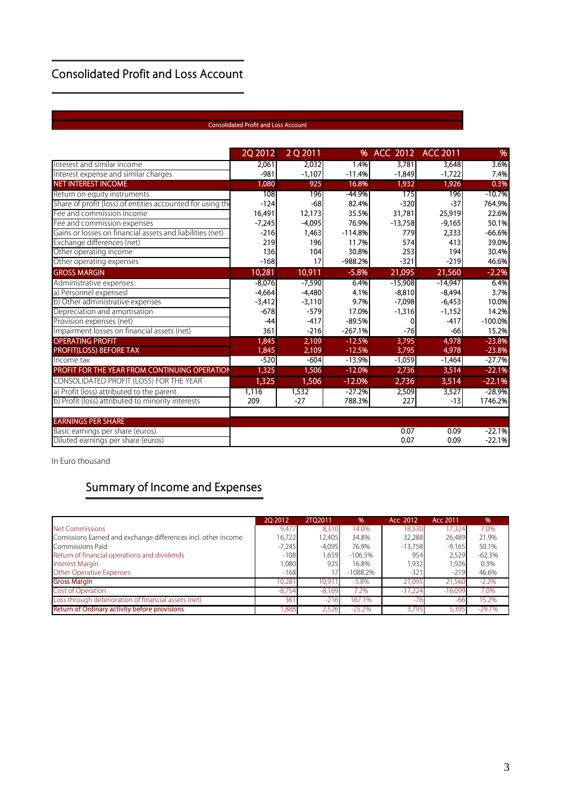#### **Consolidated Profit and Loss Account**

#### **Consolidated Profit and Loss Account**

the control of the control of the control of the control of

|                                                            | 2Q 2012  | 2 Q 2011 | %         | <b>ACC 2012</b> | <b>ACC 2011</b> | %         |
|------------------------------------------------------------|----------|----------|-----------|-----------------|-----------------|-----------|
| Interest and similar income                                | 2,061    | 2,032    | 1.4%      | 3,781           | 3,648           | 3.6%      |
| Interest expense and similar charges                       | $-981$   | $-1,107$ | $-11.4%$  | $-1,849$        | $-1,722$        | 7.4%      |
| <b>NET INTEREST INCOME</b>                                 | 1,080    | 925      | 16.8%     | 1,932           | 1,926           | 0.3%      |
| Return on equity instruments                               | 108      | 196      | -44.9%    | 175             | 196             | $-10.7%$  |
| Share of profit (loss) of entities accounted for using the | $-124$   | $-68$    | 82.4%     | $-320$          | $-37$           | 764.9%    |
| Fee and commission income                                  | 16,491   | 12,173   | 35.5%     | 31,781          | 25,919          | 22.6%     |
| Fee and commission expenses                                | $-7,245$ | $-4,095$ | 76.9%     | $-13,758$       | $-9,165$        | 50.1%     |
| Gains or losses on financial assets and liabilities (net)  | $-216$   | 1,463    | $-114.8%$ | 779             | 2,333           | $-66.6%$  |
| Exchange differences (net)                                 | 219      | 196      | 11.7%     | 574             | 413             | 39.0%     |
| Other operating income                                     | 136      | 104      | 30.8%     | 253             | 194             | 30.4%     |
| Other operating expenses                                   | $-168$   | 17       | $-988.2%$ | $-321$          | $-219$          | 46.6%     |
| <b>GROSS MARGIN</b>                                        | 10,281   | 10,911   | $-5.8%$   | 21,095          | 21,560          | $-2.2%$   |
| Administrative expenses:                                   | $-8.076$ | $-7,590$ | 6.4%      | $-15,908$       | $-14,947$       | 6.4%      |
| a) Personnel expensesl                                     | $-4.664$ | $-4,480$ | 4.1%      | $-8.810$        | $-8,494$        | 3.7%      |
| b) Other administrative expenses                           | $-3,412$ | $-3,110$ | 9.7%      | $-7,098$        | $-6,453$        | 10.0%     |
| Depreciation and amortisation                              | $-678$   | $-579$   | 17.0%     | $-1,316$        | $-1,152$        | 14.2%     |
| Provision expenses (net)                                   | $-44$    | $-417$   | $-89.5%$  |                 | $-417$          | $-100.0%$ |
| Impairment losses on financial assets (net)                | 361      | $-216$   | $-267.1%$ | $-76$           | $-66$           | 15.2%     |
| <b>OPERATING PROFIT</b>                                    | 1,845    | 2,109    | $-12.5%$  | 3,795           | 4,978           | $-23.8%$  |
| PROFIT(LOSS) BEFORE TAX                                    | 1.845    | 2,109    | $-12.5%$  | 3,795           | 4,978           | $-23.8%$  |
| Income tax                                                 | $-520$   | $-604$   | $-13.9%$  | $-1,059$        | $-1,464$        | $-27.7%$  |
| PROFIT FOR THE YEAR FROM CONTINUING OPERATION              | 1,325    | 1,506    | $-12.0%$  | 2,736           | 3,514           | $-22.1%$  |
| CONSOLIDATED PROFIT (LOSS) FOR THE YEAR                    | 1,325    | 1,506    | $-12.0%$  | 2,736           | 3,514           | $-22.1%$  |
| a) Profit (loss) attributed to the parent                  | 1,116    | 1,532    | $-27.2%$  | 2,509           | 3,527           | $-28.9%$  |
| b) Profit (loss) attributed to minority interests          | 209      | $-27$    | 788.3%    | 227             | $-13$           | 1746.2%   |
| <b>EARNINGS PER SHARE</b>                                  |          |          |           |                 |                 |           |
| Basic earnings per share (euros)                           |          |          |           | 0.07            | 0.09            | $-22.1%$  |
| Diluted earnings per share (euros)                         |          |          |           | 0.07            | 0.09            | $-22.1%$  |

In Euro thousand

#### **Summary of Income and Expenses**

|                                                               | 20 20 12 | 2TO 2011 | $\frac{9}{6}$ | Acc 2012  | Acc 2011  | %        |
|---------------------------------------------------------------|----------|----------|---------------|-----------|-----------|----------|
| Net Commissions                                               | 9,477    | 8.310    | 14.0%         | 18,530    | 17.324    | 7.0%     |
| Comissions Earned and exchange differences incl. other income | 16,722   | 12,405   | 34.8%         | 32,288    | 26,489    | 21.9%    |
| Commissions Paid                                              | $-7,245$ | $-4,095$ | 76.9%         | $-13,758$ | $-9,165$  | 50.1%    |
| Return of financial operations and dividends                  | $-108$   | 1,659    | $-106.5%$     | 954       | 2,529     | $-62.3%$ |
| <b>Interest Margin</b>                                        | 1,080    | 925      | 16.8%         | 1,932     | 1,926     | 0.3%     |
| <b>Other Operative Expenses</b>                               | $-168$   | 17       | $-1088.2%$    | $-321$    | $-219$    | 46.6%    |
| <b>Gross Margin</b>                                           | 10,281   | 10.91    | $-5.8\%$      | 21,095    | 21,560    | $-2.2\%$ |
| Cost of Operation                                             | $-8.754$ | $-8.169$ | 7.2%          | $-17,224$ | $-16,099$ | 7.0%     |
| Loss through deterioration of financial assets (net)          | 361      | $-216$   | 167.1%        | $-76$     | -61       | 15.2%    |
| Return of Ordinary activity before provisions                 | .888     | 2.526    | $-25.2%$      | 3.795     | 5,395     | $-29.7%$ |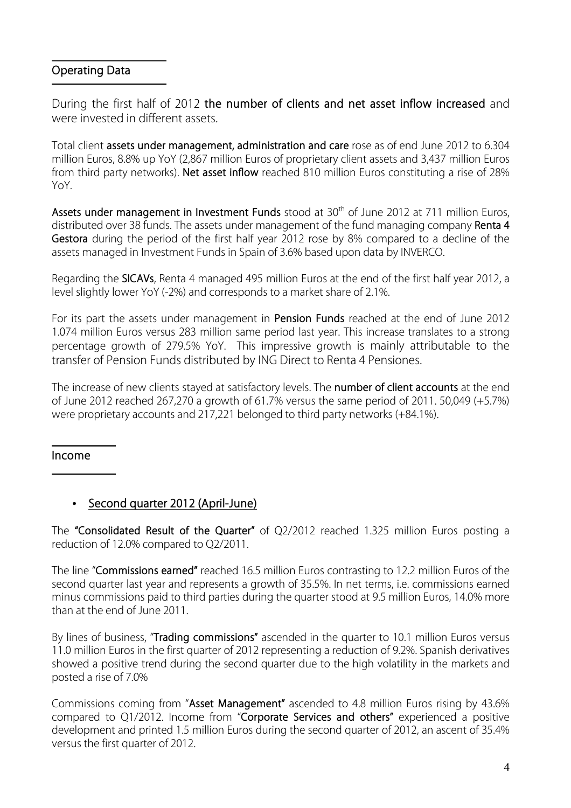#### **Operating Data**

During the first half of 2012 **the number of clients and net asset inflow increased** and were invested in different assets.

Total client **assets under management, administration and care** rose as of end June 2012 to 6.304 million Euros, 8.8% up YoY (2,867 million Euros of proprietary client assets and 3,437 million Euros from third party networks). **Net asset inflow** reached 810 million Euros constituting a rise of 28% YoY.

Assets under management in Investment Funds stood at 30<sup>th</sup> of June 2012 at 711 million Euros, distributed over 38 funds. The assets under management of the fund managing company **Renta 4 Gestora** during the period of the first half year 2012 rose by 8% compared to a decline of the assets managed in Investment Funds in Spain of 3.6% based upon data by INVERCO.

Regarding the **SICAVs**, Renta 4 managed 495 million Euros at the end of the first half year 2012, a level slightly lower YoY (-2%) and corresponds to a market share of 2.1%.

For its part the assets under management in **Pension Funds** reached at the end of June 2012 1.074 million Euros versus 283 million same period last year. This increase translates to a strong percentage growth of 279.5% YoY.This impressive growth is mainly attributable to the transfer of Pension Funds distributed by ING Direct to Renta 4 Pensiones.

The increase of new clients stayed at satisfactory levels. The **number of client accounts** at the end of June 2012 reached 267,270 a growth of 61.7% versus the same period of 2011. 50,049 (+5.7%) were proprietary accounts and 217,221 belonged to third party networks (+84.1%).

#### **Income**

#### • **Second quarter 2012 (April-June)**

The **"Consolidated Result of the Quarter"** of Q2/2012 reached 1.325 million Euros posting a reduction of 12.0% compared to Q2/2011.

The line "**Commissions earned"** reached 16.5 million Euros contrasting to 12.2 million Euros of the second quarter last year and represents a growth of 35.5%. In net terms, i.e. commissions earned minus commissions paid to third parties during the quarter stood at 9.5 million Euros, 14.0% more than at the end of June 2011.

By lines of business, "**Trading commissions"** ascended in the quarter to 10.1 million Euros versus 11.0 million Euros in the first quarter of 2012 representing a reduction of 9.2%. Spanish derivatives showed a positive trend during the second quarter due to the high volatility in the markets and posted a rise of 7.0%

Commissions coming from "**Asset Management"** ascended to 4.8 million Euros rising by 43.6% compared to Q1/2012. Income from "**Corporate Services and others"** experienced a positive development and printed 1.5 million Euros during the second quarter of 2012, an ascent of 35.4% versus the first quarter of 2012.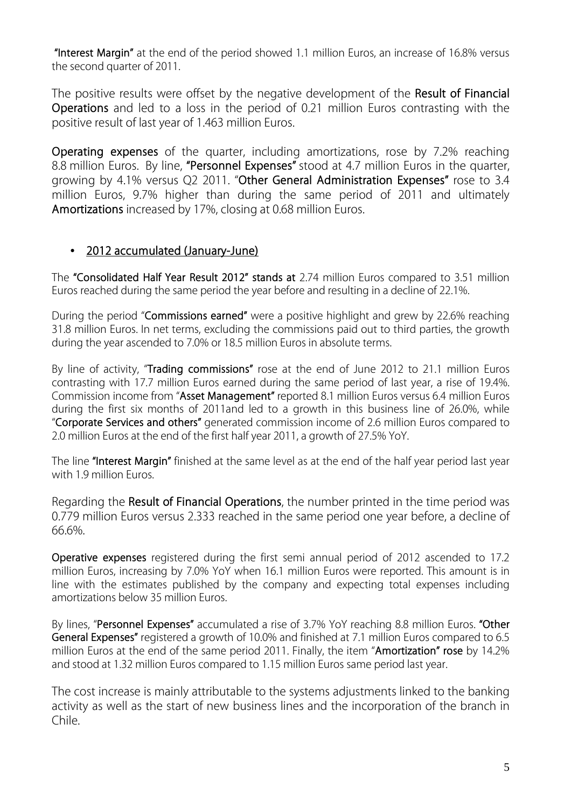**"Interest Margin"** at the end of the period showed 1.1 million Euros, an increase of 16.8% versus the second quarter of 2011.

The positive results were offset by the negative development of the **Result of Financial Operations** and led to a loss in the period of 0.21 million Euros contrasting with the positive result of last year of 1.463 million Euros.

**Operating expenses** of the quarter, including amortizations, rose by 7.2% reaching 8.8 million Euros. By line, **"Personnel Expenses"** stood at 4.7 million Euros in the quarter, growing by 4.1% versus Q2 2011. "**Other General Administration Expenses"** rose to 3.4 million Euros, 9.7% higher than during the same period of 2011 and ultimately **Amortizations** increased by 17%, closing at 0.68 million Euros.

#### • **2012 accumulated (January-June)**

The **"Consolidated Half Year Result 2012" stands at** 2.74 million Euros compared to 3.51 million Euros reached during the same period the year before and resulting in a decline of 22.1%.

During the period "**Commissions earned"** were a positive highlight and grew by 22.6% reaching 31.8 million Euros. In net terms, excluding the commissions paid out to third parties, the growth during the year ascended to 7.0% or 18.5 million Euros in absolute terms.

By line of activity, "**Trading commissions"** rose at the end of June 2012 to 21.1 million Euros contrasting with 17.7 million Euros earned during the same period of last year, a rise of 19.4%. Commission income from "**Asset Management"** reported 8.1 million Euros versus 6.4 million Euros during the first six months of 2011and led to a growth in this business line of 26.0%, while "**Corporate Services and others"** generated commission income of 2.6 million Euros compared to 2.0 million Euros at the end of the first half year 2011, a growth of 27.5% YoY.

The line **"Interest Margin"** finished at the same level as at the end of the half year period last year with 1.9 million Euros.

Regarding the **Result of Financial Operations**, the number printed in the time period was 0.779 million Euros versus 2.333 reached in the same period one year before, a decline of 66.6%.

**Operative expenses** registered during the first semi annual period of 2012 ascended to 17.2 million Euros, increasing by 7.0% YoY when 16.1 million Euros were reported. This amount is in line with the estimates published by the company and expecting total expenses including amortizations below 35 million Euros.

By lines, "**Personnel Expenses"** accumulated a rise of 3.7% YoY reaching 8.8 million Euros. **"Other General Expenses"** registered a growth of 10.0% and finished at 7.1 million Euros compared to 6.5 million Euros at the end of the same period 2011. Finally, the item "**Amortization" rose** by 14.2% and stood at 1.32 million Euros compared to 1.15 million Euros same period last year.

The cost increase is mainly attributable to the systems adjustments linked to the banking activity as well as the start of new business lines and the incorporation of the branch in Chile.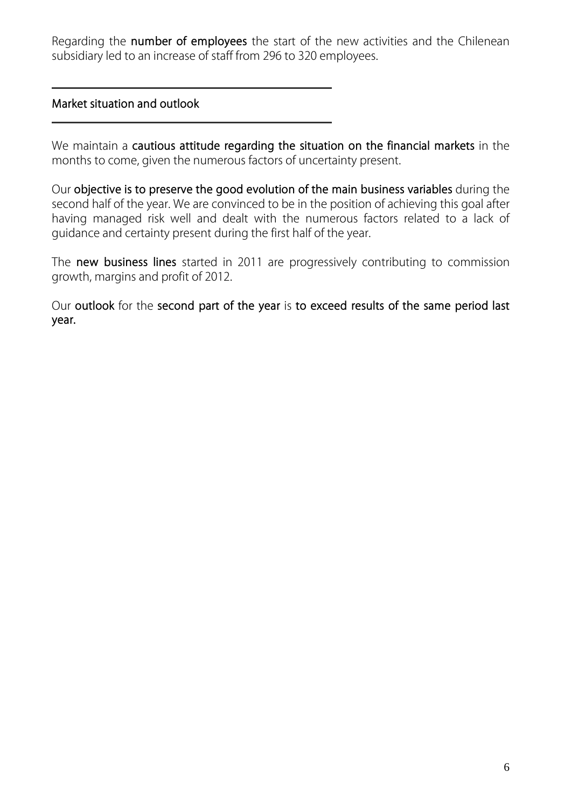Regarding the **number of employees** the start of the new activities and the Chilenean subsidiary led to an increase of staff from 296 to 320 employees.

#### **Market situation and outlook**

We maintain a **cautious attitude regarding the situation on the financial markets** in the months to come, given the numerous factors of uncertainty present.

Our **objective is to preserve the good evolution of the main business variables** during the second half of the year. We are convinced to be in the position of achieving this goal after having managed risk well and dealt with the numerous factors related to a lack of guidance and certainty present during the first half of the year.

The **new business lines** started in 2011 are progressively contributing to commission growth, margins and profit of 2012.

Our **outlook** for the **second part of the year** is **to exceed results of the same period last year.**